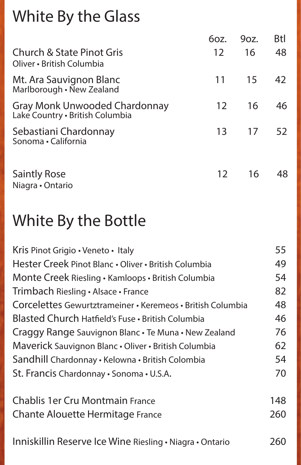#### White By the Glass

|                                                                   | 6oz.            | 90z. | <b>Btl</b> |
|-------------------------------------------------------------------|-----------------|------|------------|
| <b>Church &amp; State Pinot Gris</b><br>Oliver · British Columbia | 12              | 16   | 48         |
| Mt. Ara Sauvignon Blanc<br>Marlborough • New Zealand              | 11              | 15   | 42         |
| Gray Monk Unwooded Chardonnay<br>Lake Country . British Columbia  | 12              | 16   | 46         |
| Sebastiani Chardonnay<br>Sonoma · California                      | 13              | 17   | 52         |
| <b>Saintly Rose</b><br>Niagra • Ontario                           | 12 <sup>2</sup> | 16   | 48         |

### White By the Bottle

| Kris Pinot Grigio · Veneto · Italy                         | 55  |
|------------------------------------------------------------|-----|
| Hester Creek Pinot Blanc . Oliver . British Columbia       | 49  |
| Monte Creek Riesling • Kamloops • British Columbia         | 54  |
| Trimbach Riesling · Alsace · France                        | 82  |
| Corcelettes Gewurtztrameiner • Keremeos • British Columbia | 48  |
| Blasted Church Hatfield's Fuse · British Columbia          | 46  |
| Craggy Range Sauvignon Blanc . Te Muna . New Zealand       | 76  |
| Maverick Sauvignon Blanc . Oliver . British Columbia       | 62  |
| Sandhill Chardonnay • Kelowna • British Colombia           | 54  |
| St. Francis Chardonnay · Sonoma · U.S.A.                   | 70  |
| <b>Chablis 1er Cru Montmain France</b>                     | 148 |
| <b>Chante Alouette Hermitage France</b>                    | 260 |
| Inniskillin Reserve Ice Wine Riesling • Niagra • Ontario   | 260 |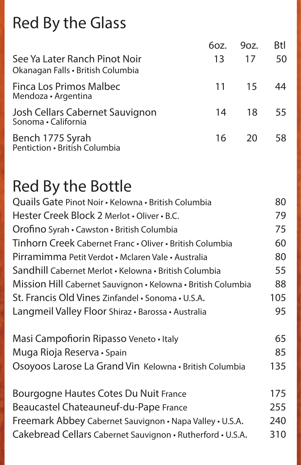### Red By the Glass

|                                                                    | 6oz. | $9$ oz. | <b>Btl</b> |
|--------------------------------------------------------------------|------|---------|------------|
| See Ya Later Ranch Pinot Noir<br>Okanagan Falls • British Columbia | 13   | 17      | 50         |
| Finca Los Primos Malbec<br>Mendoza • Argentina                     |      | 11 15   | -44        |
| Josh Cellars Cabernet Sauvignon<br>Sonoma · California             | 14   | - 18 -  | - 55       |
| Bench 1775 Syrah<br>Pentiction · British Columbia                  |      | 16 20   | 58         |

#### Red By the Bottle

| Quails Gate Pinot Noir • Kelowna • British Columbia          | 80  |
|--------------------------------------------------------------|-----|
| Hester Creek Block 2 Merlot . Oliver . B.C.                  | 79  |
| Orofino Syrah • Cawston • British Columbia                   | 75  |
| Tinhorn Creek Cabernet Franc . Oliver . British Columbia     | 60  |
| Pirramimma Petit Verdot • Mclaren Vale • Australia           | 80  |
| Sandhill Cabernet Merlot • Kelowna • British Columbia        | 55  |
| Mission Hill Cabernet Sauvignon • Kelowna • British Columbia | 88  |
| St. Francis Old Vines Zinfandel · Sonoma · U.S.A.            | 105 |
| Langmeil Valley Floor Shiraz · Barossa · Australia           | 95  |
| Masi Campofiorin Ripasso Veneto · Italy                      | 65  |
| Muga Rioja Reserva • Spain                                   | 85  |
| Osoyoos Larose La Grand Vin Kelowna · British Columbia       | 135 |
| Bourgogne Hautes Cotes Du Nuit France                        | 175 |
| Beaucastel Chateauneuf-du-Pape France                        | 255 |
| Freemark Abbey Cabernet Sauvignon • Napa Valley • U.S.A.     | 240 |
| Cakebread Cellars Cabernet Sauvignon • Rutherford • U.S.A.   | 310 |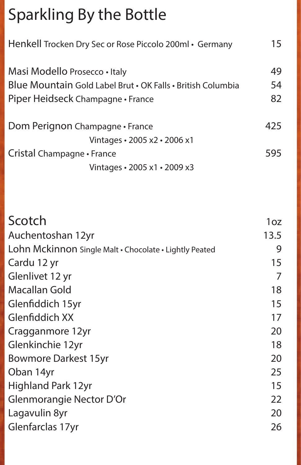## Sparkling By the Bottle

| Henkell Trocken Dry Sec or Rose Piccolo 200ml • Germany     | 15  |
|-------------------------------------------------------------|-----|
| Masi Modello Prosecco • Italy                               | 49  |
| Blue Mountain Gold Label Brut • OK Falls • British Columbia | 54  |
| Piper Heidseck Champagne • France                           | 82  |
| Dom Perignon Champagne • France                             | 425 |
| Vintages • 2005 x2 • 2006 x1                                |     |
| Cristal Champagne • France                                  | 595 |
| Vintages · 2005 x1 · 2009 x3                                |     |

| Scotch                                                 | 1 <sub>oz</sub> |
|--------------------------------------------------------|-----------------|
| Auchentoshan 12yr                                      | 13.5            |
| Lohn Mckinnon Single Malt · Chocolate · Lightly Peated | 9               |
| Cardu 12 yr                                            | 15              |
| Glenlivet 12 yr                                        | $\overline{7}$  |
| Macallan Gold                                          | 18              |
| Glenfiddich 15yr                                       | 15              |
| Glenfiddich XX                                         | 17              |
| Cragganmore 12yr                                       | 20              |
| Glenkinchie 12yr                                       | 18              |
| <b>Bowmore Darkest 15yr</b>                            | 20              |
| Oban 14yr                                              | 25              |
| <b>Highland Park 12yr</b>                              | 15              |
| Glenmorangie Nector D'Or                               | 22              |
| Lagavulin 8yr                                          | 20              |
| Glenfarclas 17yr                                       | 26              |
|                                                        |                 |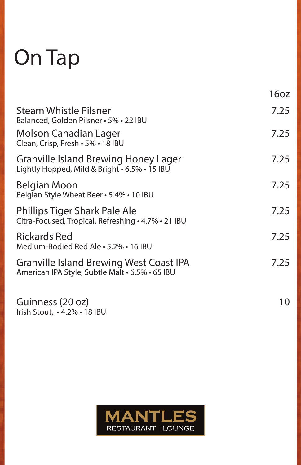# On Tap

|                                                                                                   | 16oz |
|---------------------------------------------------------------------------------------------------|------|
| <b>Steam Whistle Pilsner</b><br>Balanced, Golden Pilsner · 5% · 22 IBU                            | 7.25 |
| <b>Molson Canadian Lager</b><br>Clean, Crisp, Fresh · 5% · 18 IBU                                 | 7.25 |
| <b>Granville Island Brewing Honey Lager</b><br>Lightly Hopped, Mild & Bright • 6.5% • 15 IBU      | 7.25 |
| Belgian Moon<br>Belgian Style Wheat Beer · 5.4% · 10 IBU                                          | 7.25 |
| Phillips Tiger Shark Pale Ale<br>Citra-Focused, Tropical, Refreshing · 4.7% · 21 IBU              | 7.25 |
| <b>Rickards Red</b><br>Medium-Bodied Red Ale · 5.2% · 16 IBU                                      | 7.25 |
| <b>Granville Island Brewing West Coast IPA</b><br>American IPA Style, Subtle Malt • 6.5% • 65 IBU | 7.25 |
| Guinness (20 oz)<br>Irish Stout, . 4.2% . 18 IBU                                                  | 10   |

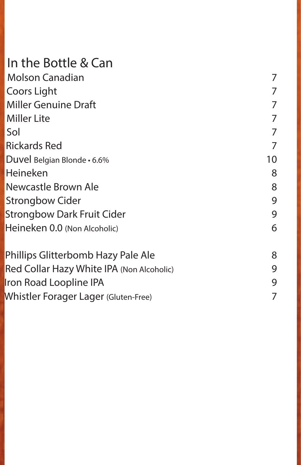#### In the Bottle & Can

| <b>Molson Canadian</b>             | 7  |
|------------------------------------|----|
| Coors Light                        | 7  |
| <b>Miller Genuine Draft</b>        | 7  |
| <b>Miller Lite</b>                 | 7  |
| Sol                                | 7  |
| <b>Rickards Red</b>                | 7  |
| Duvel Belgian Blonde · 6.6%        | 10 |
| Heineken                           | 8  |
| Newcastle Brown Ale                | 8  |
| <b>Strongbow Cider</b>             | 9  |
| <b>Strongbow Dark Fruit Cider</b>  | 9  |
| Heineken 0.0 (Non Alcoholic)       | 6  |
| Phillips Glitterbomb Hazy Pale Ale | 8  |

| $\blacksquare$                            |  |
|-------------------------------------------|--|
| Red Collar Hazy White IPA (Non Alcoholic) |  |
| Iron Road Loopline IPA                    |  |
| Whistler Forager Lager (Gluten-Free)      |  |
|                                           |  |